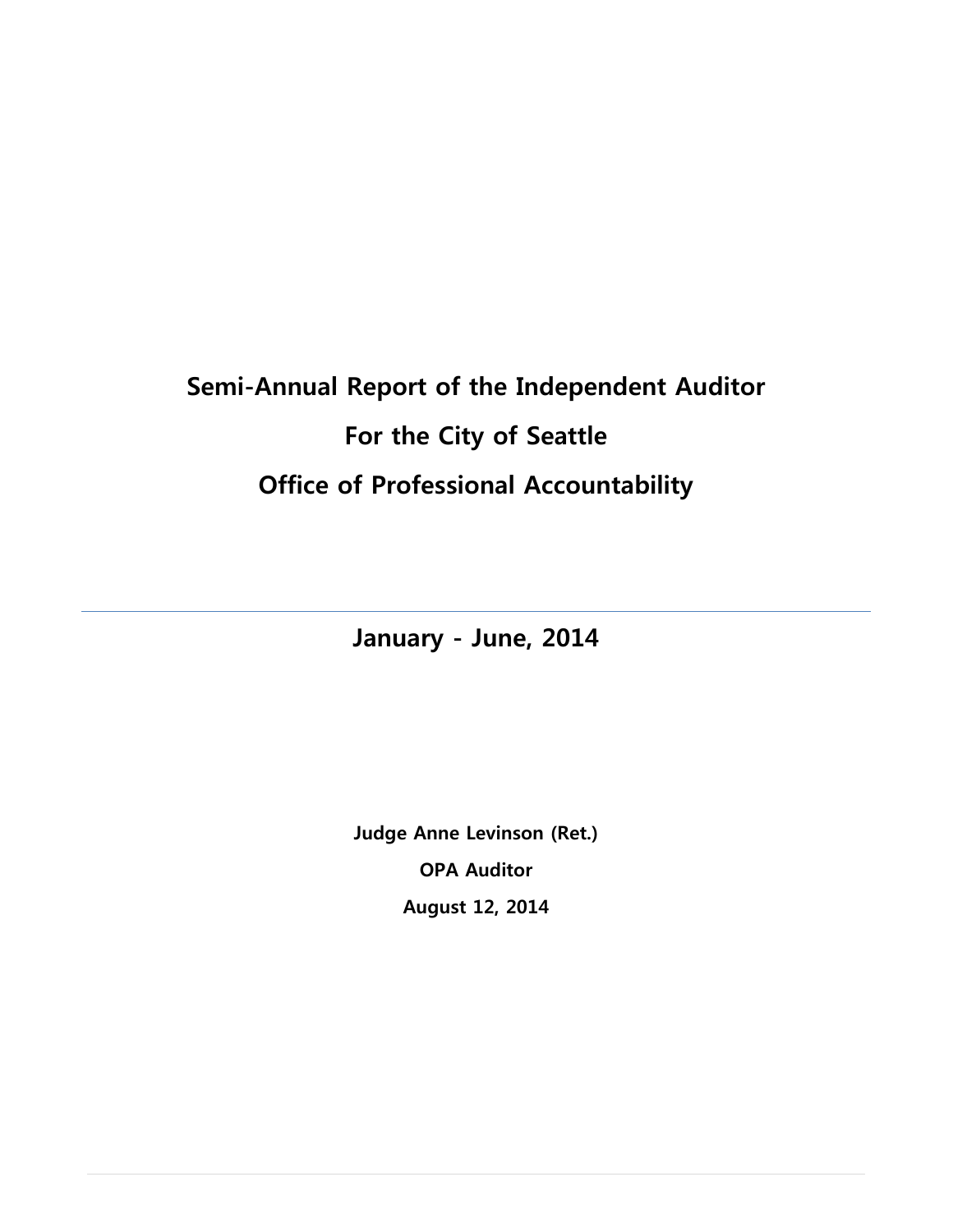# **Semi-Annual Report of the Independent Auditor For the City of Seattle Office of Professional Accountability**

**January - June, 2014**

**Judge Anne Levinson (Ret.) OPA Auditor August 12, 2014**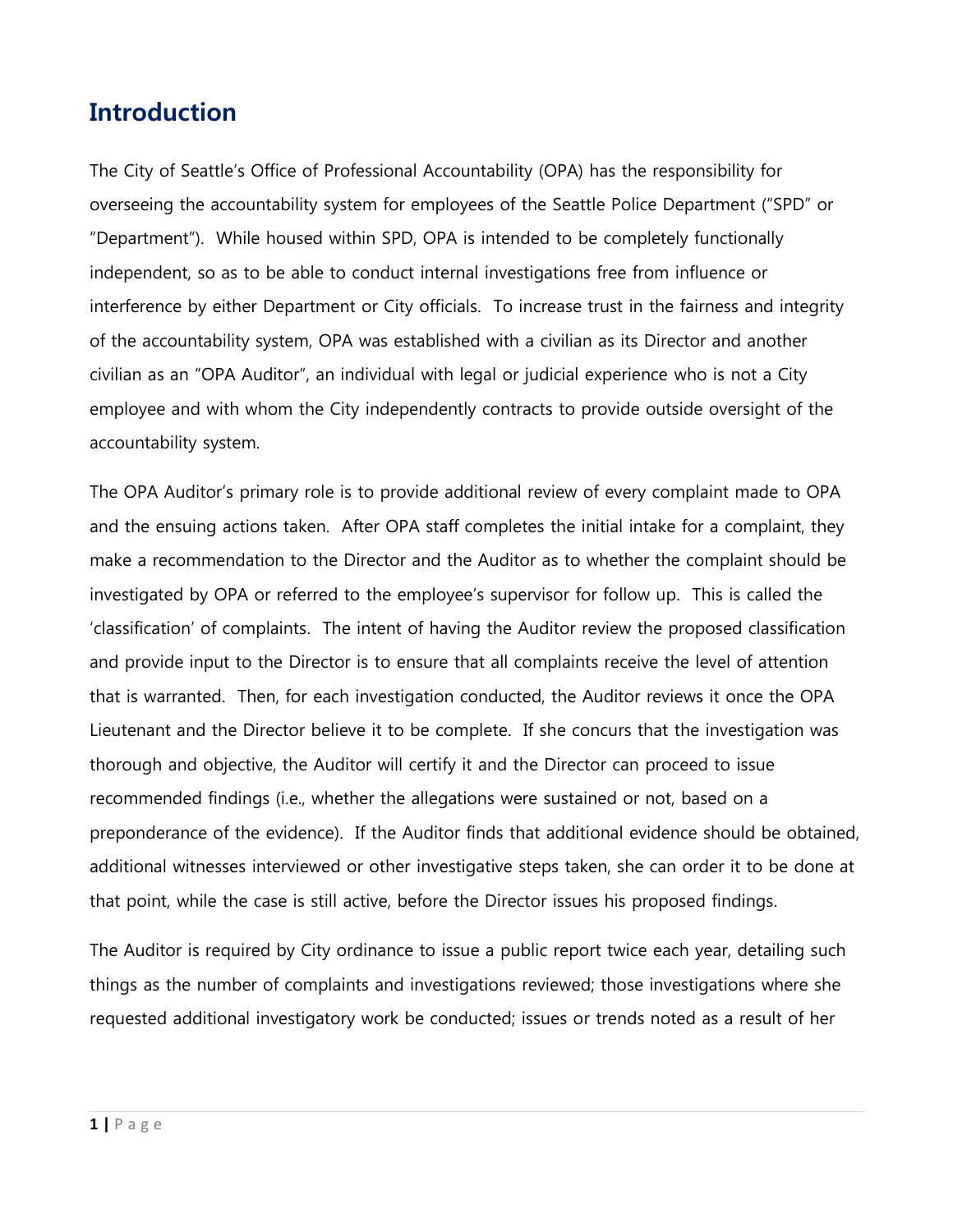### **Introduction**

The City of Seattle's Office of Professional Accountability (OPA) has the responsibility for overseeing the accountability system for employees of the Seattle Police Department ("SPD" or "Department"). While housed within SPD, OPA is intended to be completely functionally independent, so as to be able to conduct internal investigations free from influence or interference by either Department or City officials. To increase trust in the fairness and integrity of the accountability system, OPA was established with a civilian as its Director and another civilian as an "OPA Auditor", an individual with legal or judicial experience who is not a City employee and with whom the City independently contracts to provide outside oversight of the accountability system.

The OPA Auditor's primary role is to provide additional review of every complaint made to OPA and the ensuing actions taken. After OPA staff completes the initial intake for a complaint, they make a recommendation to the Director and the Auditor as to whether the complaint should be investigated by OPA or referred to the employee's supervisor for follow up. This is called the 'classification' of complaints. The intent of having the Auditor review the proposed classification and provide input to the Director is to ensure that all complaints receive the level of attention that is warranted. Then, for each investigation conducted, the Auditor reviews it once the OPA Lieutenant and the Director believe it to be complete. If she concurs that the investigation was thorough and objective, the Auditor will certify it and the Director can proceed to issue recommended findings (i.e., whether the allegations were sustained or not, based on a preponderance of the evidence). If the Auditor finds that additional evidence should be obtained, additional witnesses interviewed or other investigative steps taken, she can order it to be done at that point, while the case is still active, before the Director issues his proposed findings.

The Auditor is required by City ordinance to issue a public report twice each year, detailing such things as the number of complaints and investigations reviewed; those investigations where she requested additional investigatory work be conducted; issues or trends noted as a result of her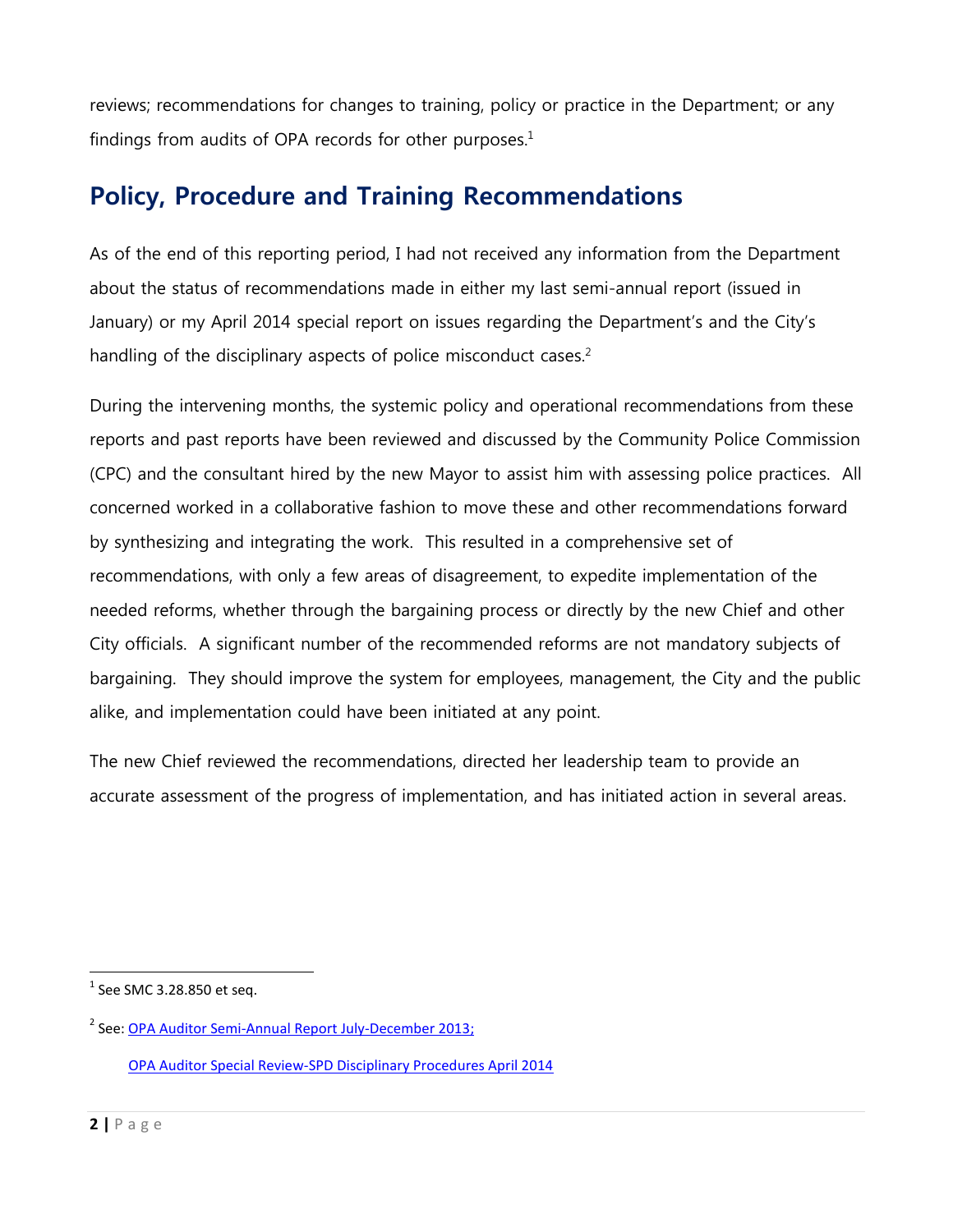reviews; recommendations for changes to training, policy or practice in the Department; or any findings from audits of OPA records for other purposes.<sup>1</sup>

## **Policy, Procedure and Training Recommendations**

As of the end of this reporting period, I had not received any information from the Department about the status of recommendations made in either my last semi-annual report (issued in January) or my April 2014 special report on issues regarding the Department's and the City's handling of the disciplinary aspects of police misconduct cases.<sup>2</sup>

During the intervening months, the systemic policy and operational recommendations from these reports and past reports have been reviewed and discussed by the Community Police Commission (CPC) and the consultant hired by the new Mayor to assist him with assessing police practices. All concerned worked in a collaborative fashion to move these and other recommendations forward by synthesizing and integrating the work. This resulted in a comprehensive set of recommendations, with only a few areas of disagreement, to expedite implementation of the needed reforms, whether through the bargaining process or directly by the new Chief and other City officials. A significant number of the recommended reforms are not mandatory subjects of bargaining. They should improve the system for employees, management, the City and the public alike, and implementation could have been initiated at any point.

The new Chief reviewed the recommendations, directed her leadership team to provide an accurate assessment of the progress of implementation, and has initiated action in several areas.

 1 See SMC 3.28.850 et seq.

<sup>&</sup>lt;sup>2</sup> See: <u>OPA Auditor Semi-Annual Report July-December 2013;</u>

[OPA Auditor Special Review-SPD Disciplinary Procedures April 2014](http://www.seattle.gov/Documents/Departments/OPA/auditor/OPA_Auditor_Special_review_SPD_disciplinary_procedures_April_2014.pdf)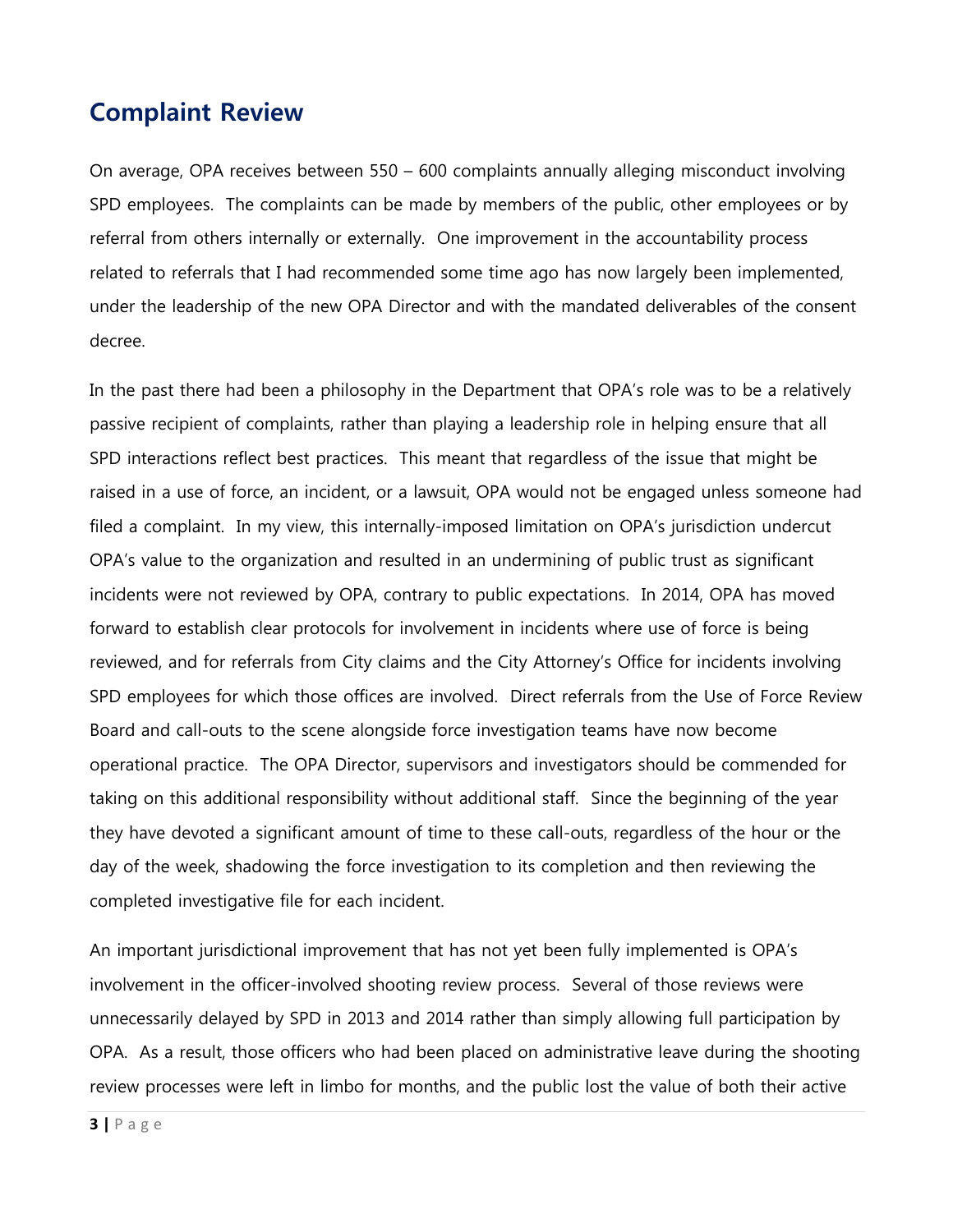### **Complaint Review**

On average, OPA receives between 550 – 600 complaints annually alleging misconduct involving SPD employees. The complaints can be made by members of the public, other employees or by referral from others internally or externally. One improvement in the accountability process related to referrals that I had recommended some time ago has now largely been implemented, under the leadership of the new OPA Director and with the mandated deliverables of the consent decree.

In the past there had been a philosophy in the Department that OPA's role was to be a relatively passive recipient of complaints, rather than playing a leadership role in helping ensure that all SPD interactions reflect best practices. This meant that regardless of the issue that might be raised in a use of force, an incident, or a lawsuit, OPA would not be engaged unless someone had filed a complaint. In my view, this internally-imposed limitation on OPA's jurisdiction undercut OPA's value to the organization and resulted in an undermining of public trust as significant incidents were not reviewed by OPA, contrary to public expectations. In 2014, OPA has moved forward to establish clear protocols for involvement in incidents where use of force is being reviewed, and for referrals from City claims and the City Attorney's Office for incidents involving SPD employees for which those offices are involved. Direct referrals from the Use of Force Review Board and call-outs to the scene alongside force investigation teams have now become operational practice. The OPA Director, supervisors and investigators should be commended for taking on this additional responsibility without additional staff. Since the beginning of the year they have devoted a significant amount of time to these call-outs, regardless of the hour or the day of the week, shadowing the force investigation to its completion and then reviewing the completed investigative file for each incident.

An important jurisdictional improvement that has not yet been fully implemented is OPA's involvement in the officer-involved shooting review process. Several of those reviews were unnecessarily delayed by SPD in 2013 and 2014 rather than simply allowing full participation by OPA. As a result, those officers who had been placed on administrative leave during the shooting review processes were left in limbo for months, and the public lost the value of both their active

**3 |** P a g e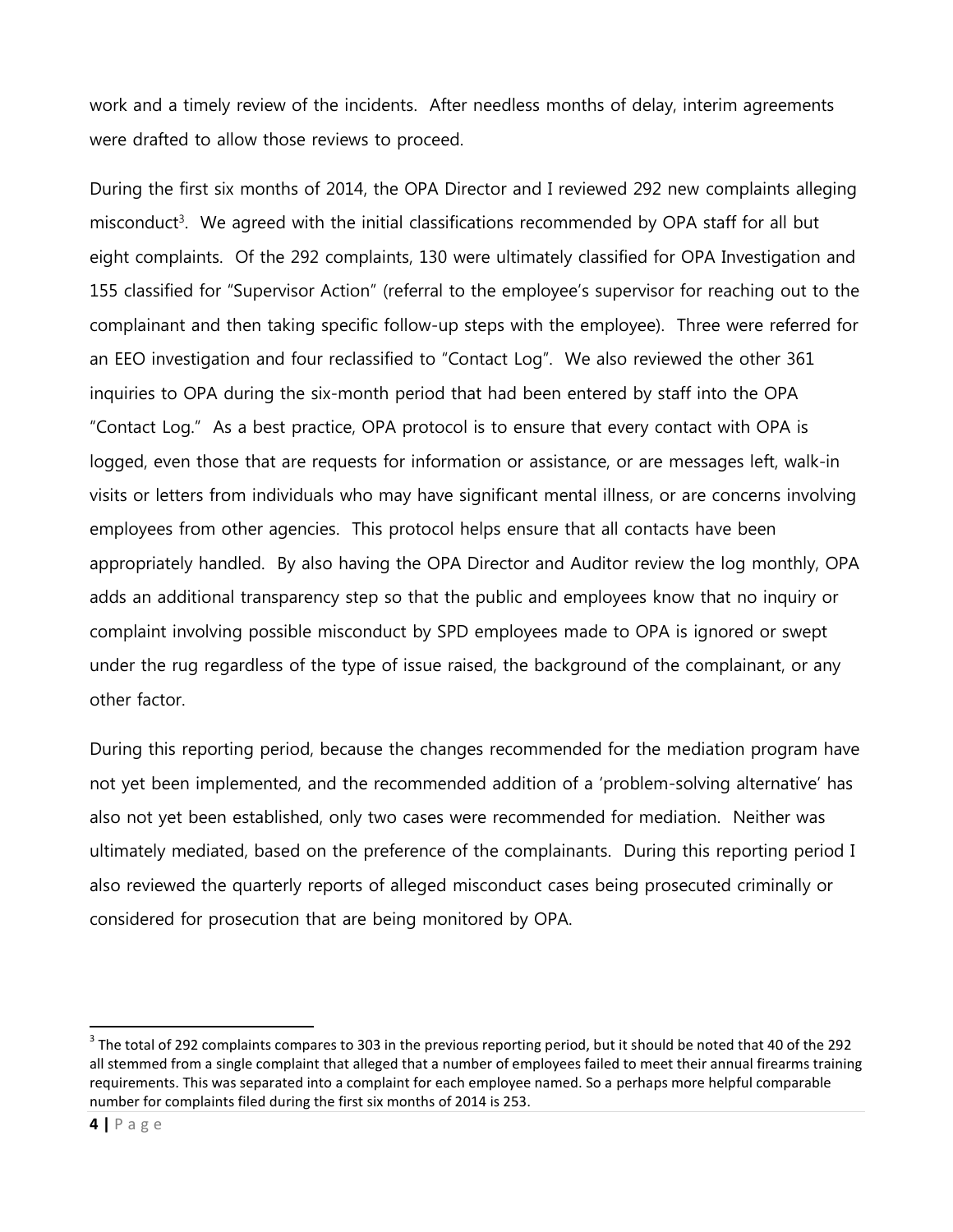work and a timely review of the incidents. After needless months of delay, interim agreements were drafted to allow those reviews to proceed.

During the first six months of 2014, the OPA Director and I reviewed 292 new complaints alleging misconduct<sup>3</sup>. We agreed with the initial classifications recommended by OPA staff for all but eight complaints. Of the 292 complaints, 130 were ultimately classified for OPA Investigation and 155 classified for "Supervisor Action" (referral to the employee's supervisor for reaching out to the complainant and then taking specific follow-up steps with the employee). Three were referred for an EEO investigation and four reclassified to "Contact Log". We also reviewed the other 361 inquiries to OPA during the six-month period that had been entered by staff into the OPA "Contact Log." As a best practice, OPA protocol is to ensure that every contact with OPA is logged, even those that are requests for information or assistance, or are messages left, walk-in visits or letters from individuals who may have significant mental illness, or are concerns involving employees from other agencies. This protocol helps ensure that all contacts have been appropriately handled. By also having the OPA Director and Auditor review the log monthly, OPA adds an additional transparency step so that the public and employees know that no inquiry or complaint involving possible misconduct by SPD employees made to OPA is ignored or swept under the rug regardless of the type of issue raised, the background of the complainant, or any other factor.

During this reporting period, because the changes recommended for the mediation program have not yet been implemented, and the recommended addition of a 'problem-solving alternative' has also not yet been established, only two cases were recommended for mediation. Neither was ultimately mediated, based on the preference of the complainants. During this reporting period I also reviewed the quarterly reports of alleged misconduct cases being prosecuted criminally or considered for prosecution that are being monitored by OPA.

 $\overline{a}$ 

 $3$  The total of 292 complaints compares to 303 in the previous reporting period, but it should be noted that 40 of the 292 all stemmed from a single complaint that alleged that a number of employees failed to meet their annual firearms training requirements. This was separated into a complaint for each employee named. So a perhaps more helpful comparable number for complaints filed during the first six months of 2014 is 253.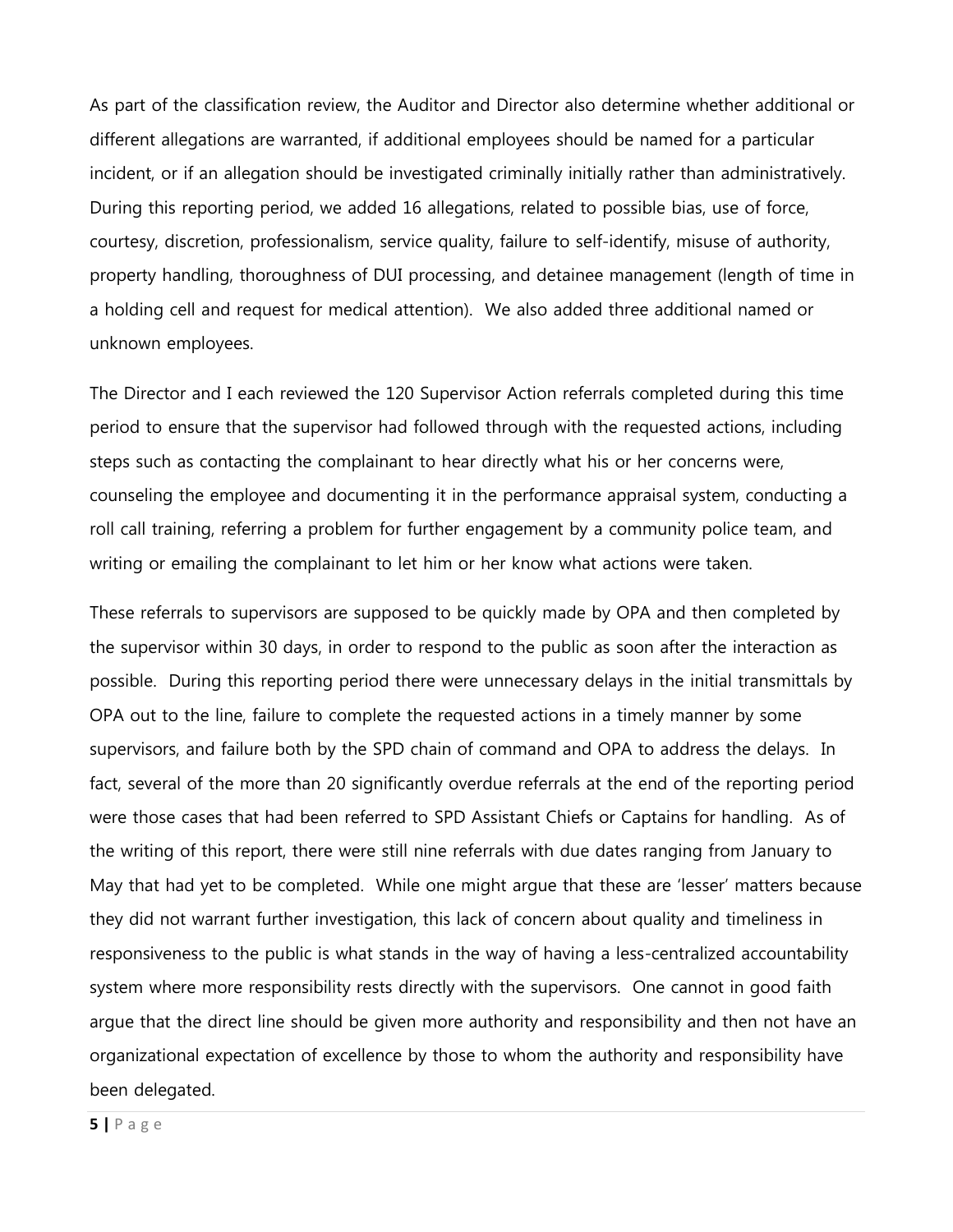As part of the classification review, the Auditor and Director also determine whether additional or different allegations are warranted, if additional employees should be named for a particular incident, or if an allegation should be investigated criminally initially rather than administratively. During this reporting period, we added 16 allegations, related to possible bias, use of force, courtesy, discretion, professionalism, service quality, failure to self-identify, misuse of authority, property handling, thoroughness of DUI processing, and detainee management (length of time in a holding cell and request for medical attention). We also added three additional named or unknown employees.

The Director and I each reviewed the 120 Supervisor Action referrals completed during this time period to ensure that the supervisor had followed through with the requested actions, including steps such as contacting the complainant to hear directly what his or her concerns were, counseling the employee and documenting it in the performance appraisal system, conducting a roll call training, referring a problem for further engagement by a community police team, and writing or emailing the complainant to let him or her know what actions were taken.

These referrals to supervisors are supposed to be quickly made by OPA and then completed by the supervisor within 30 days, in order to respond to the public as soon after the interaction as possible. During this reporting period there were unnecessary delays in the initial transmittals by OPA out to the line, failure to complete the requested actions in a timely manner by some supervisors, and failure both by the SPD chain of command and OPA to address the delays. In fact, several of the more than 20 significantly overdue referrals at the end of the reporting period were those cases that had been referred to SPD Assistant Chiefs or Captains for handling. As of the writing of this report, there were still nine referrals with due dates ranging from January to May that had yet to be completed. While one might argue that these are 'lesser' matters because they did not warrant further investigation, this lack of concern about quality and timeliness in responsiveness to the public is what stands in the way of having a less-centralized accountability system where more responsibility rests directly with the supervisors. One cannot in good faith argue that the direct line should be given more authority and responsibility and then not have an organizational expectation of excellence by those to whom the authority and responsibility have been delegated.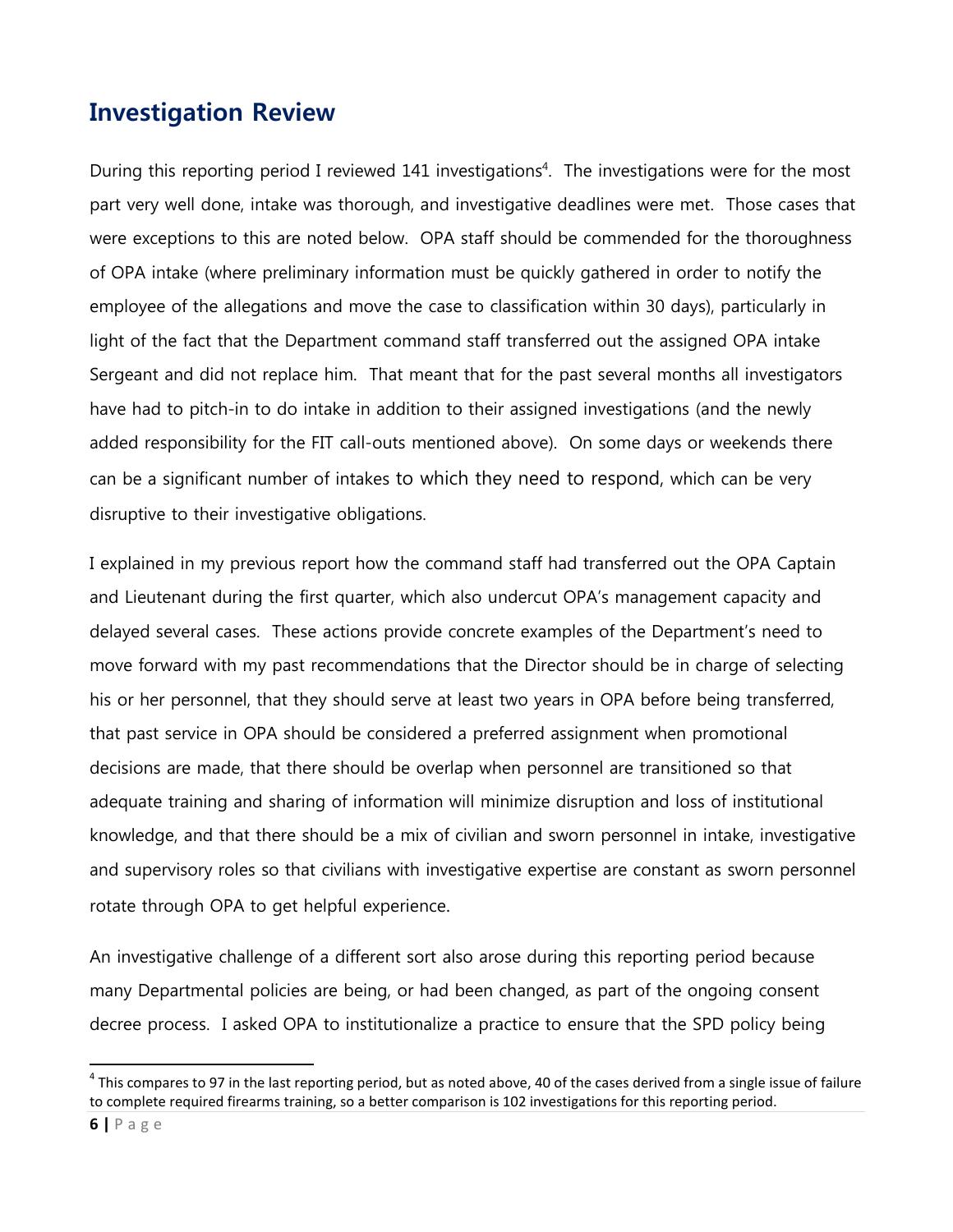### **Investigation Review**

During this reporting period I reviewed 141 investigations<sup>4</sup>. The investigations were for the most part very well done, intake was thorough, and investigative deadlines were met. Those cases that were exceptions to this are noted below. OPA staff should be commended for the thoroughness of OPA intake (where preliminary information must be quickly gathered in order to notify the employee of the allegations and move the case to classification within 30 days), particularly in light of the fact that the Department command staff transferred out the assigned OPA intake Sergeant and did not replace him. That meant that for the past several months all investigators have had to pitch-in to do intake in addition to their assigned investigations (and the newly added responsibility for the FIT call-outs mentioned above). On some days or weekends there can be a significant number of intakes to which they need to respond, which can be very disruptive to their investigative obligations.

I explained in my previous report how the command staff had transferred out the OPA Captain and Lieutenant during the first quarter, which also undercut OPA's management capacity and delayed several cases. These actions provide concrete examples of the Department's need to move forward with my past recommendations that the Director should be in charge of selecting his or her personnel, that they should serve at least two years in OPA before being transferred, that past service in OPA should be considered a preferred assignment when promotional decisions are made, that there should be overlap when personnel are transitioned so that adequate training and sharing of information will minimize disruption and loss of institutional knowledge, and that there should be a mix of civilian and sworn personnel in intake, investigative and supervisory roles so that civilians with investigative expertise are constant as sworn personnel rotate through OPA to get helpful experience.

An investigative challenge of a different sort also arose during this reporting period because many Departmental policies are being, or had been changed, as part of the ongoing consent decree process. I asked OPA to institutionalize a practice to ensure that the SPD policy being

 $\overline{a}$ 

 $^4$  This compares to 97 in the last reporting period, but as noted above, 40 of the cases derived from a single issue of failure to complete required firearms training, so a better comparison is 102 investigations for this reporting period.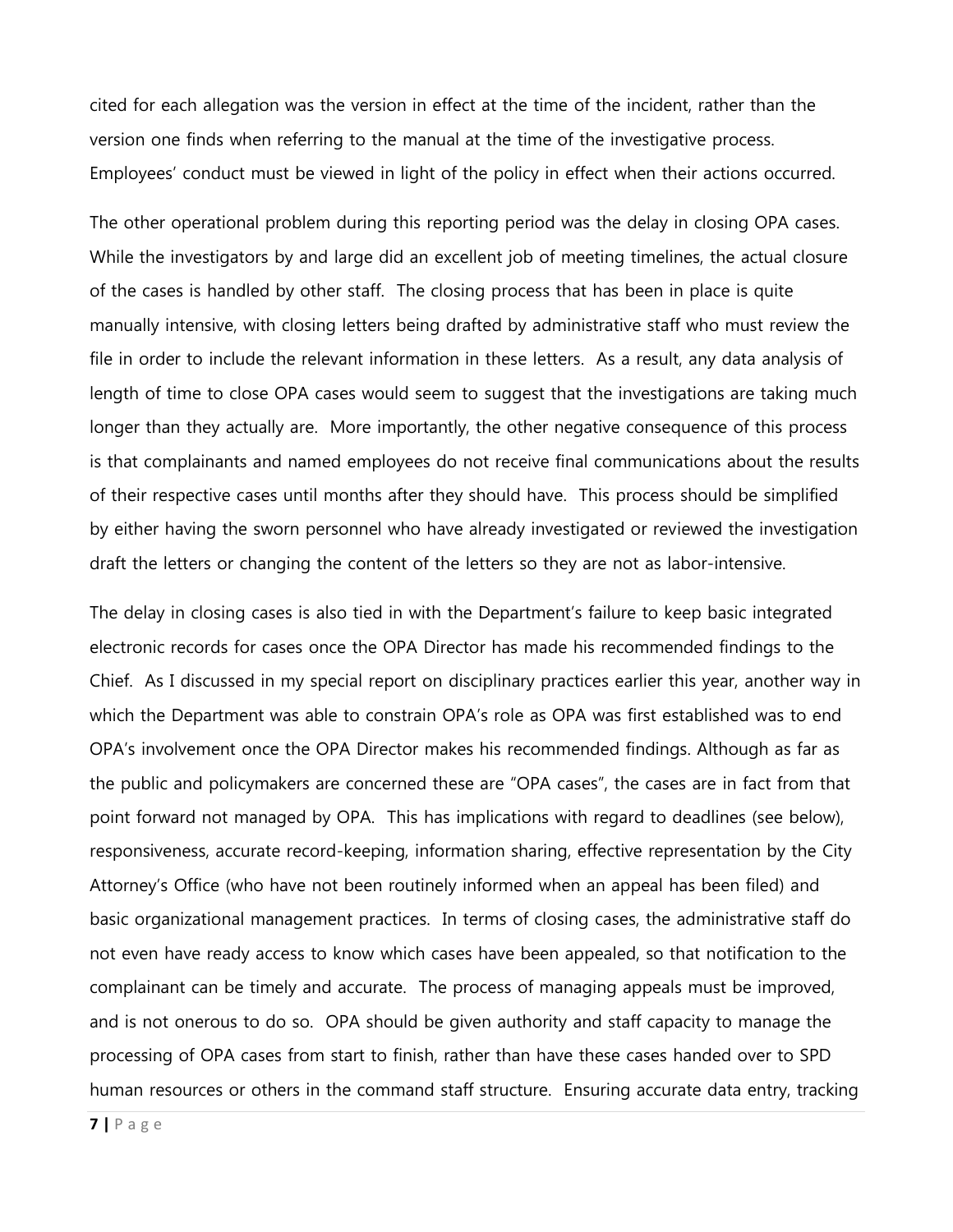cited for each allegation was the version in effect at the time of the incident, rather than the version one finds when referring to the manual at the time of the investigative process. Employees' conduct must be viewed in light of the policy in effect when their actions occurred.

The other operational problem during this reporting period was the delay in closing OPA cases. While the investigators by and large did an excellent job of meeting timelines, the actual closure of the cases is handled by other staff. The closing process that has been in place is quite manually intensive, with closing letters being drafted by administrative staff who must review the file in order to include the relevant information in these letters. As a result, any data analysis of length of time to close OPA cases would seem to suggest that the investigations are taking much longer than they actually are. More importantly, the other negative consequence of this process is that complainants and named employees do not receive final communications about the results of their respective cases until months after they should have. This process should be simplified by either having the sworn personnel who have already investigated or reviewed the investigation draft the letters or changing the content of the letters so they are not as labor-intensive.

The delay in closing cases is also tied in with the Department's failure to keep basic integrated electronic records for cases once the OPA Director has made his recommended findings to the Chief. As I discussed in my special report on disciplinary practices earlier this year, another way in which the Department was able to constrain OPA's role as OPA was first established was to end OPA's involvement once the OPA Director makes his recommended findings. Although as far as the public and policymakers are concerned these are "OPA cases", the cases are in fact from that point forward not managed by OPA. This has implications with regard to deadlines (see below), responsiveness, accurate record-keeping, information sharing, effective representation by the City Attorney's Office (who have not been routinely informed when an appeal has been filed) and basic organizational management practices. In terms of closing cases, the administrative staff do not even have ready access to know which cases have been appealed, so that notification to the complainant can be timely and accurate. The process of managing appeals must be improved, and is not onerous to do so. OPA should be given authority and staff capacity to manage the processing of OPA cases from start to finish, rather than have these cases handed over to SPD human resources or others in the command staff structure. Ensuring accurate data entry, tracking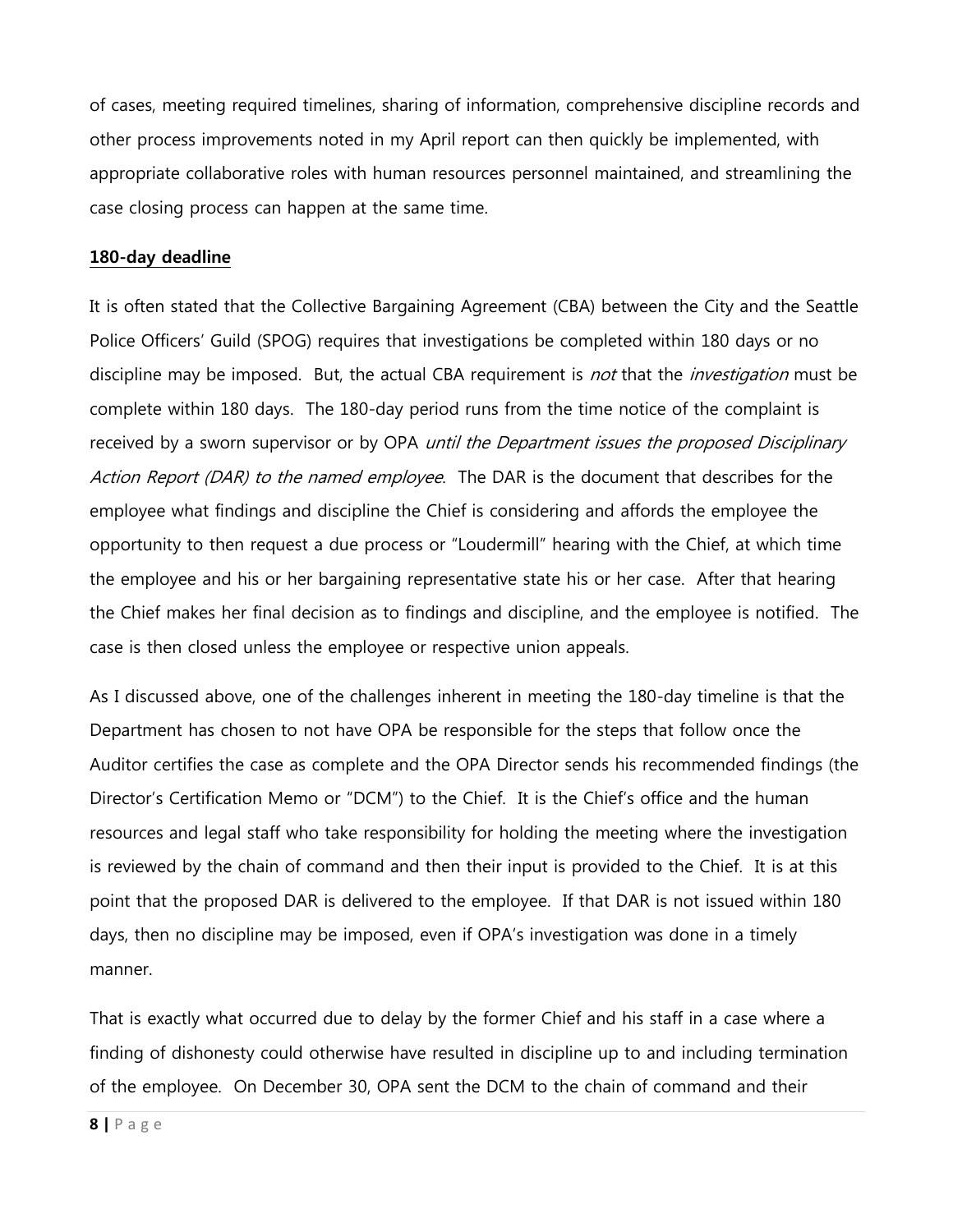of cases, meeting required timelines, sharing of information, comprehensive discipline records and other process improvements noted in my April report can then quickly be implemented, with appropriate collaborative roles with human resources personnel maintained, and streamlining the case closing process can happen at the same time.

#### **180-day deadline**

It is often stated that the Collective Bargaining Agreement (CBA) between the City and the Seattle Police Officers' Guild (SPOG) requires that investigations be completed within 180 days or no discipline may be imposed. But, the actual CBA requirement is *not* that the *investigation* must be complete within 180 days. The 180-day period runs from the time notice of the complaint is received by a sworn supervisor or by OPA *until the Department issues the proposed Disciplinary* Action Report (DAR) to the named employee. The DAR is the document that describes for the employee what findings and discipline the Chief is considering and affords the employee the opportunity to then request a due process or "Loudermill" hearing with the Chief, at which time the employee and his or her bargaining representative state his or her case. After that hearing the Chief makes her final decision as to findings and discipline, and the employee is notified. The case is then closed unless the employee or respective union appeals.

As I discussed above, one of the challenges inherent in meeting the 180-day timeline is that the Department has chosen to not have OPA be responsible for the steps that follow once the Auditor certifies the case as complete and the OPA Director sends his recommended findings (the Director's Certification Memo or "DCM") to the Chief. It is the Chief's office and the human resources and legal staff who take responsibility for holding the meeting where the investigation is reviewed by the chain of command and then their input is provided to the Chief. It is at this point that the proposed DAR is delivered to the employee. If that DAR is not issued within 180 days, then no discipline may be imposed, even if OPA's investigation was done in a timely manner.

That is exactly what occurred due to delay by the former Chief and his staff in a case where a finding of dishonesty could otherwise have resulted in discipline up to and including termination of the employee. On December 30, OPA sent the DCM to the chain of command and their

**8 |** P a g e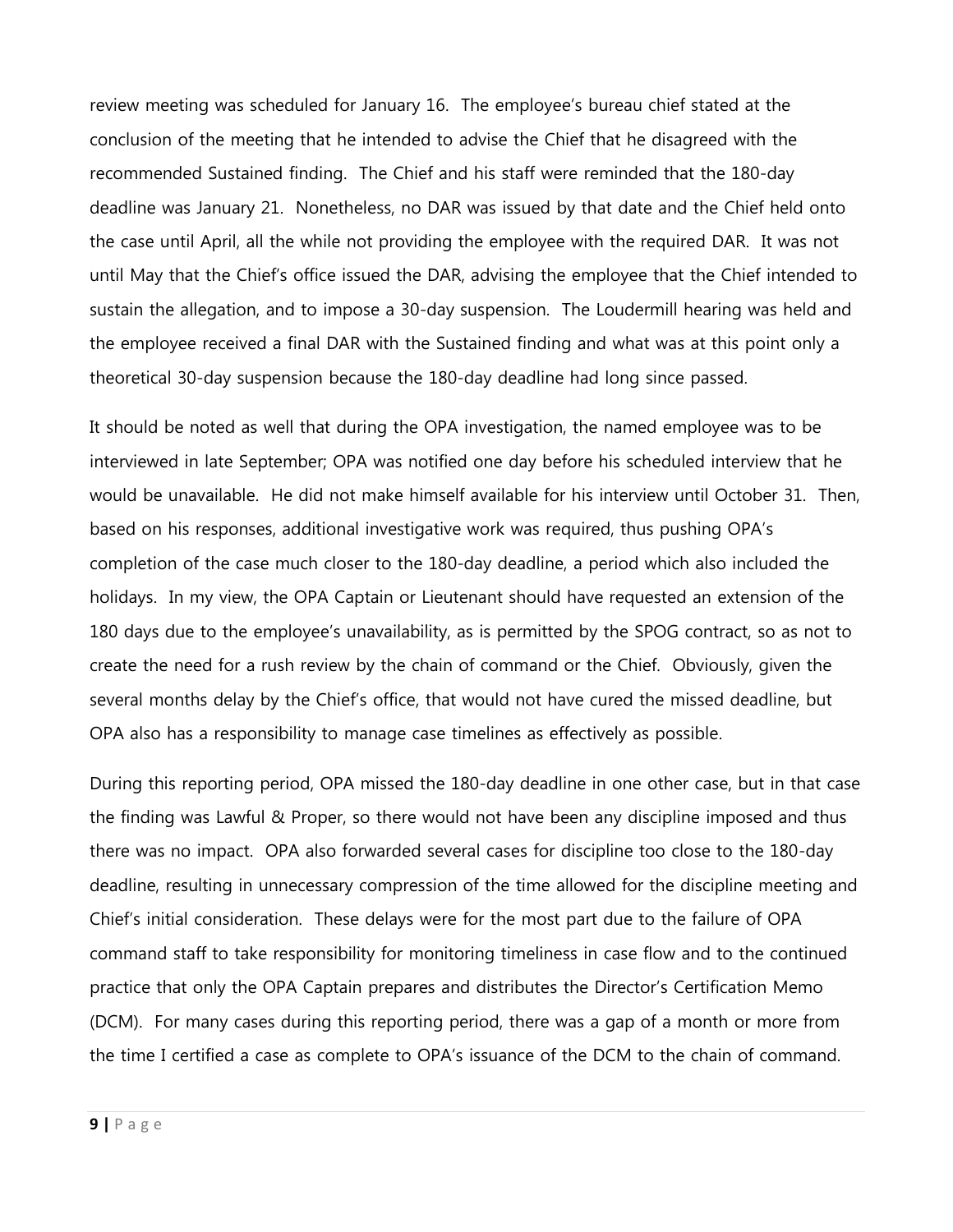review meeting was scheduled for January 16. The employee's bureau chief stated at the conclusion of the meeting that he intended to advise the Chief that he disagreed with the recommended Sustained finding. The Chief and his staff were reminded that the 180-day deadline was January 21. Nonetheless, no DAR was issued by that date and the Chief held onto the case until April, all the while not providing the employee with the required DAR. It was not until May that the Chief's office issued the DAR, advising the employee that the Chief intended to sustain the allegation, and to impose a 30-day suspension. The Loudermill hearing was held and the employee received a final DAR with the Sustained finding and what was at this point only a theoretical 30-day suspension because the 180-day deadline had long since passed.

It should be noted as well that during the OPA investigation, the named employee was to be interviewed in late September; OPA was notified one day before his scheduled interview that he would be unavailable. He did not make himself available for his interview until October 31. Then, based on his responses, additional investigative work was required, thus pushing OPA's completion of the case much closer to the 180-day deadline, a period which also included the holidays. In my view, the OPA Captain or Lieutenant should have requested an extension of the 180 days due to the employee's unavailability, as is permitted by the SPOG contract, so as not to create the need for a rush review by the chain of command or the Chief. Obviously, given the several months delay by the Chief's office, that would not have cured the missed deadline, but OPA also has a responsibility to manage case timelines as effectively as possible.

During this reporting period, OPA missed the 180-day deadline in one other case, but in that case the finding was Lawful & Proper, so there would not have been any discipline imposed and thus there was no impact. OPA also forwarded several cases for discipline too close to the 180-day deadline, resulting in unnecessary compression of the time allowed for the discipline meeting and Chief's initial consideration. These delays were for the most part due to the failure of OPA command staff to take responsibility for monitoring timeliness in case flow and to the continued practice that only the OPA Captain prepares and distributes the Director's Certification Memo (DCM). For many cases during this reporting period, there was a gap of a month or more from the time I certified a case as complete to OPA's issuance of the DCM to the chain of command.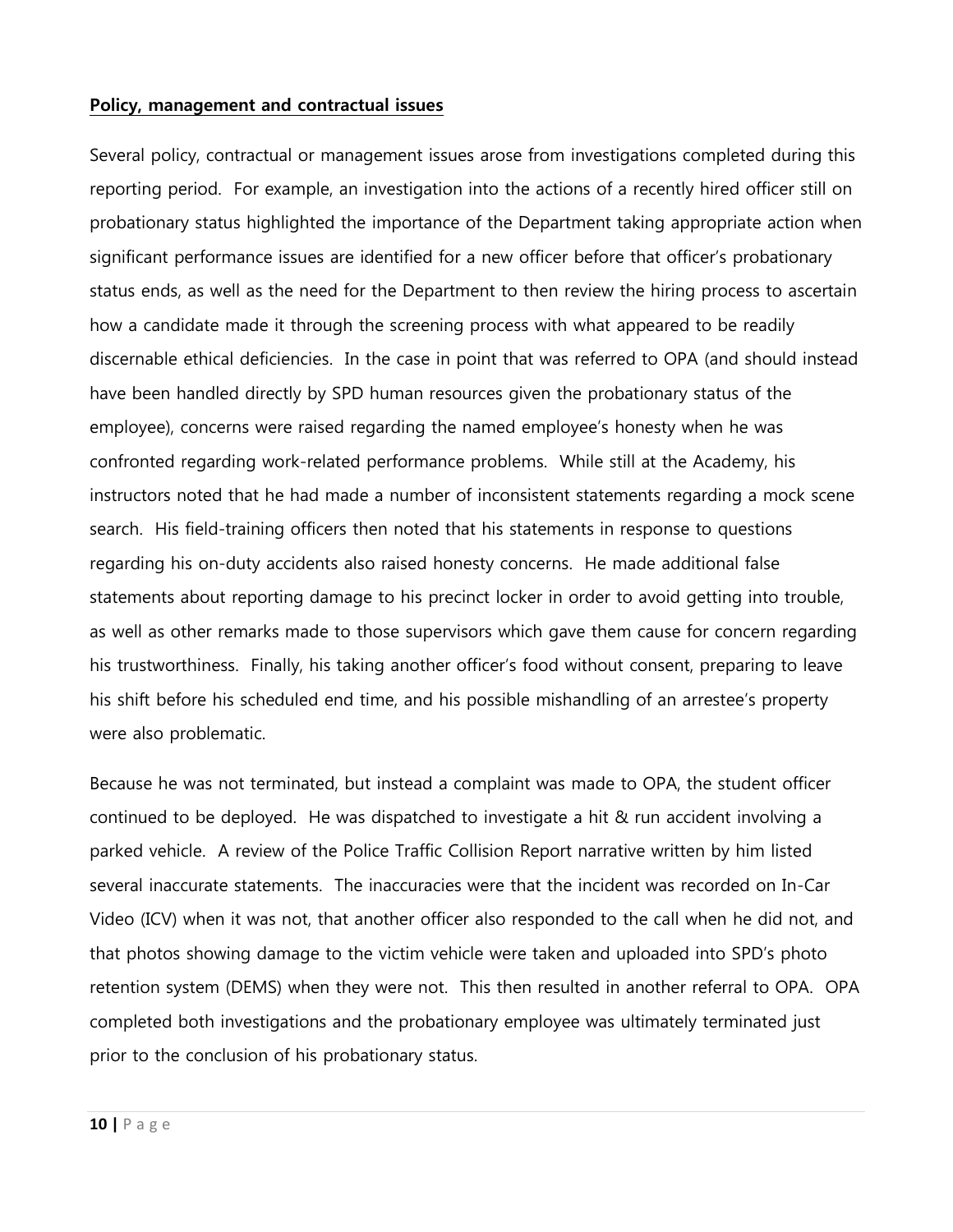#### **Policy, management and contractual issues**

Several policy, contractual or management issues arose from investigations completed during this reporting period. For example, an investigation into the actions of a recently hired officer still on probationary status highlighted the importance of the Department taking appropriate action when significant performance issues are identified for a new officer before that officer's probationary status ends, as well as the need for the Department to then review the hiring process to ascertain how a candidate made it through the screening process with what appeared to be readily discernable ethical deficiencies. In the case in point that was referred to OPA (and should instead have been handled directly by SPD human resources given the probationary status of the employee), concerns were raised regarding the named employee's honesty when he was confronted regarding work-related performance problems. While still at the Academy, his instructors noted that he had made a number of inconsistent statements regarding a mock scene search. His field-training officers then noted that his statements in response to questions regarding his on-duty accidents also raised honesty concerns. He made additional false statements about reporting damage to his precinct locker in order to avoid getting into trouble, as well as other remarks made to those supervisors which gave them cause for concern regarding his trustworthiness. Finally, his taking another officer's food without consent, preparing to leave his shift before his scheduled end time, and his possible mishandling of an arrestee's property were also problematic.

Because he was not terminated, but instead a complaint was made to OPA, the student officer continued to be deployed. He was dispatched to investigate a hit & run accident involving a parked vehicle. A review of the Police Traffic Collision Report narrative written by him listed several inaccurate statements. The inaccuracies were that the incident was recorded on In-Car Video (ICV) when it was not, that another officer also responded to the call when he did not, and that photos showing damage to the victim vehicle were taken and uploaded into SPD's photo retention system (DEMS) when they were not. This then resulted in another referral to OPA. OPA completed both investigations and the probationary employee was ultimately terminated just prior to the conclusion of his probationary status.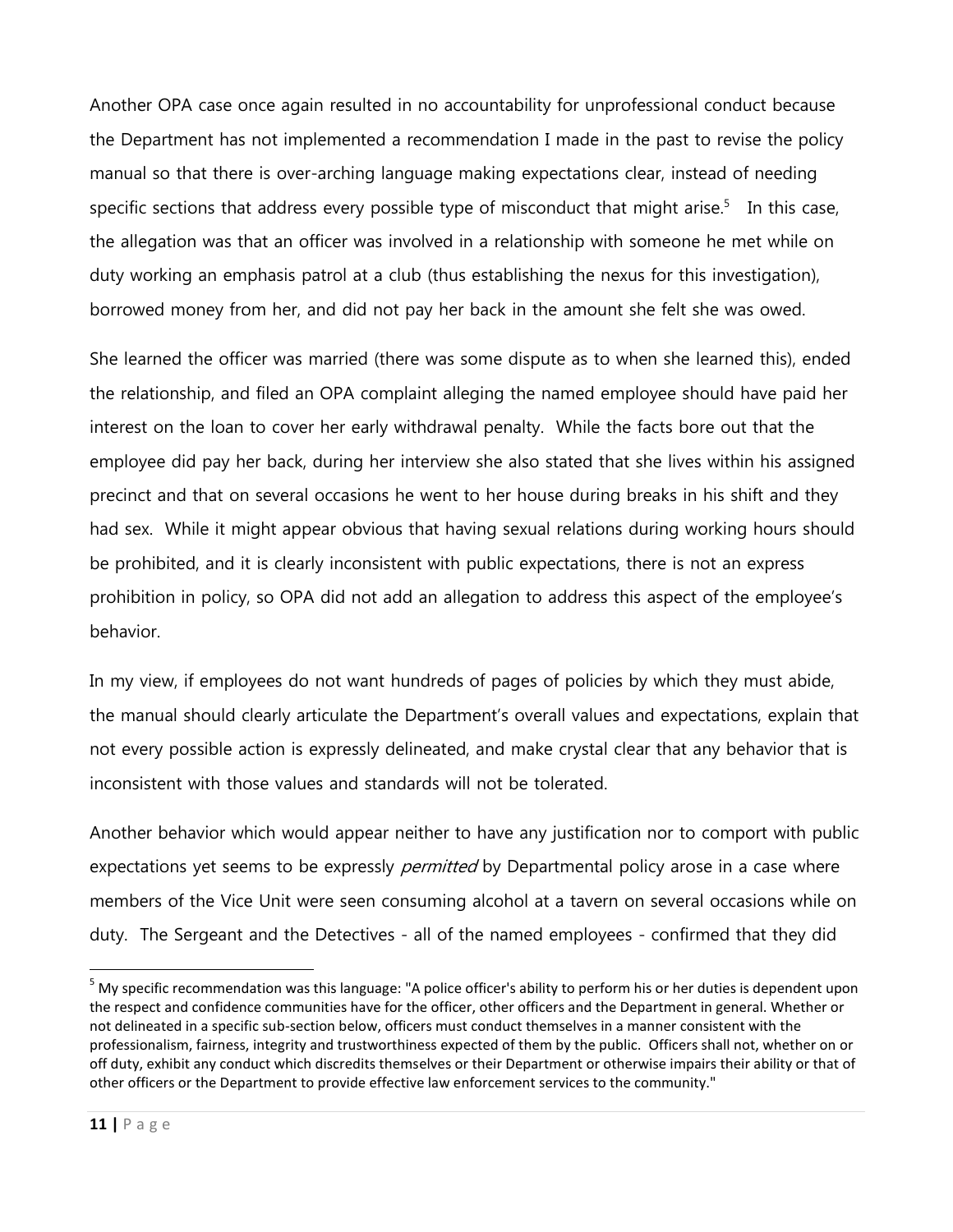Another OPA case once again resulted in no accountability for unprofessional conduct because the Department has not implemented a recommendation I made in the past to revise the policy manual so that there is over-arching language making expectations clear, instead of needing specific sections that address every possible type of misconduct that might arise.<sup>5</sup> In this case, the allegation was that an officer was involved in a relationship with someone he met while on duty working an emphasis patrol at a club (thus establishing the nexus for this investigation), borrowed money from her, and did not pay her back in the amount she felt she was owed.

She learned the officer was married (there was some dispute as to when she learned this), ended the relationship, and filed an OPA complaint alleging the named employee should have paid her interest on the loan to cover her early withdrawal penalty. While the facts bore out that the employee did pay her back, during her interview she also stated that she lives within his assigned precinct and that on several occasions he went to her house during breaks in his shift and they had sex. While it might appear obvious that having sexual relations during working hours should be prohibited, and it is clearly inconsistent with public expectations, there is not an express prohibition in policy, so OPA did not add an allegation to address this aspect of the employee's behavior.

In my view, if employees do not want hundreds of pages of policies by which they must abide, the manual should clearly articulate the Department's overall values and expectations, explain that not every possible action is expressly delineated, and make crystal clear that any behavior that is inconsistent with those values and standards will not be tolerated.

Another behavior which would appear neither to have any justification nor to comport with public expectations yet seems to be expressly *permitted* by Departmental policy arose in a case where members of the Vice Unit were seen consuming alcohol at a tavern on several occasions while on duty. The Sergeant and the Detectives - all of the named employees - confirmed that they did

 $\ddot{\phantom{a}}$ 

<sup>&</sup>lt;sup>5</sup> My specific recommendation was this language: "A police officer's ability to perform his or her duties is dependent upon the respect and confidence communities have for the officer, other officers and the Department in general. Whether or not delineated in a specific sub-section below, officers must conduct themselves in a manner consistent with the professionalism, fairness, integrity and trustworthiness expected of them by the public. Officers shall not, whether on or off duty, exhibit any conduct which discredits themselves or their Department or otherwise impairs their ability or that of other officers or the Department to provide effective law enforcement services to the community."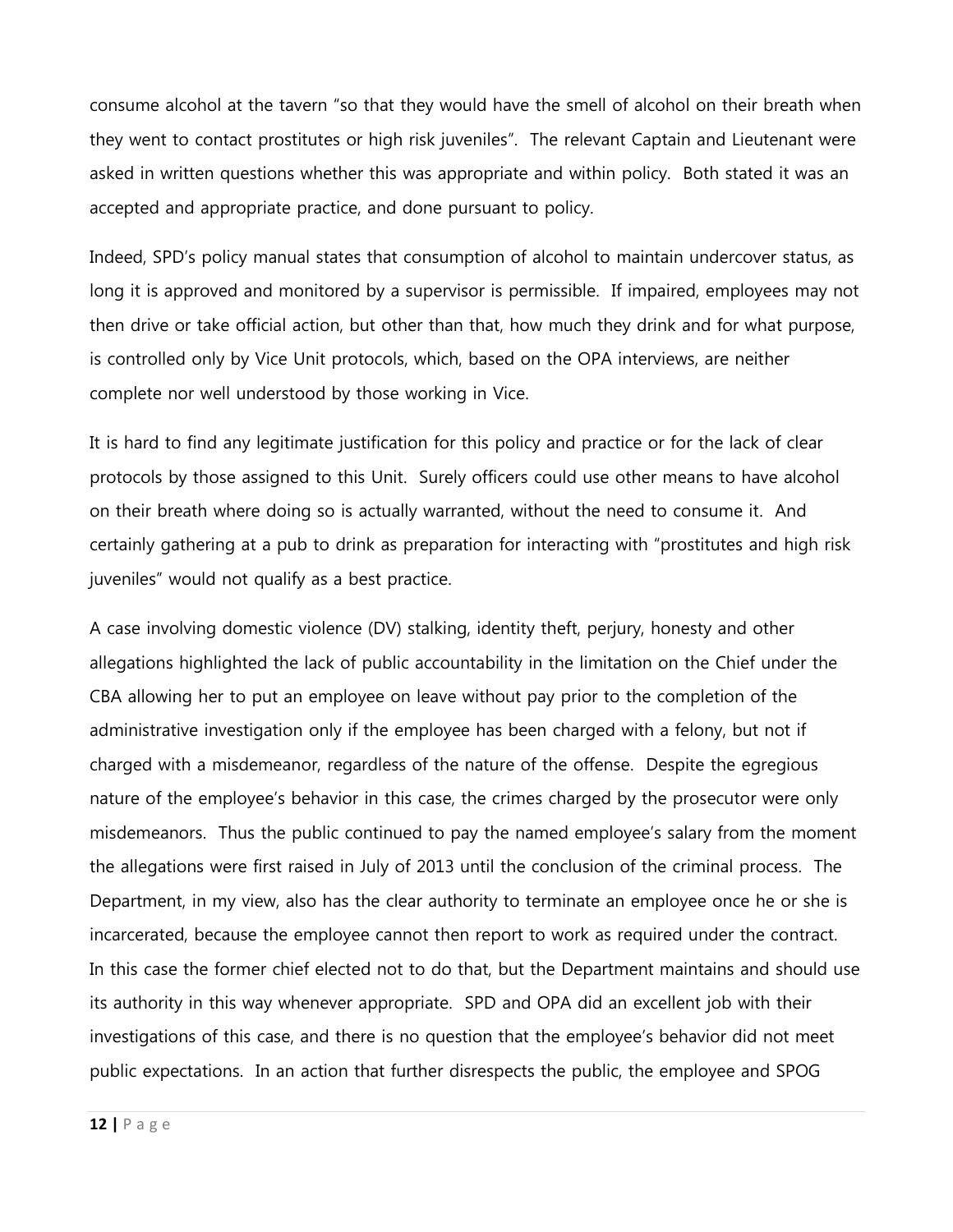consume alcohol at the tavern "so that they would have the smell of alcohol on their breath when they went to contact prostitutes or high risk juveniles". The relevant Captain and Lieutenant were asked in written questions whether this was appropriate and within policy. Both stated it was an accepted and appropriate practice, and done pursuant to policy.

Indeed, SPD's policy manual states that consumption of alcohol to maintain undercover status, as long it is approved and monitored by a supervisor is permissible. If impaired, employees may not then drive or take official action, but other than that, how much they drink and for what purpose, is controlled only by Vice Unit protocols, which, based on the OPA interviews, are neither complete nor well understood by those working in Vice.

It is hard to find any legitimate justification for this policy and practice or for the lack of clear protocols by those assigned to this Unit. Surely officers could use other means to have alcohol on their breath where doing so is actually warranted, without the need to consume it. And certainly gathering at a pub to drink as preparation for interacting with "prostitutes and high risk juveniles" would not qualify as a best practice.

A case involving domestic violence (DV) stalking, identity theft, perjury, honesty and other allegations highlighted the lack of public accountability in the limitation on the Chief under the CBA allowing her to put an employee on leave without pay prior to the completion of the administrative investigation only if the employee has been charged with a felony, but not if charged with a misdemeanor, regardless of the nature of the offense. Despite the egregious nature of the employee's behavior in this case, the crimes charged by the prosecutor were only misdemeanors. Thus the public continued to pay the named employee's salary from the moment the allegations were first raised in July of 2013 until the conclusion of the criminal process. The Department, in my view, also has the clear authority to terminate an employee once he or she is incarcerated, because the employee cannot then report to work as required under the contract. In this case the former chief elected not to do that, but the Department maintains and should use its authority in this way whenever appropriate. SPD and OPA did an excellent job with their investigations of this case, and there is no question that the employee's behavior did not meet public expectations. In an action that further disrespects the public, the employee and SPOG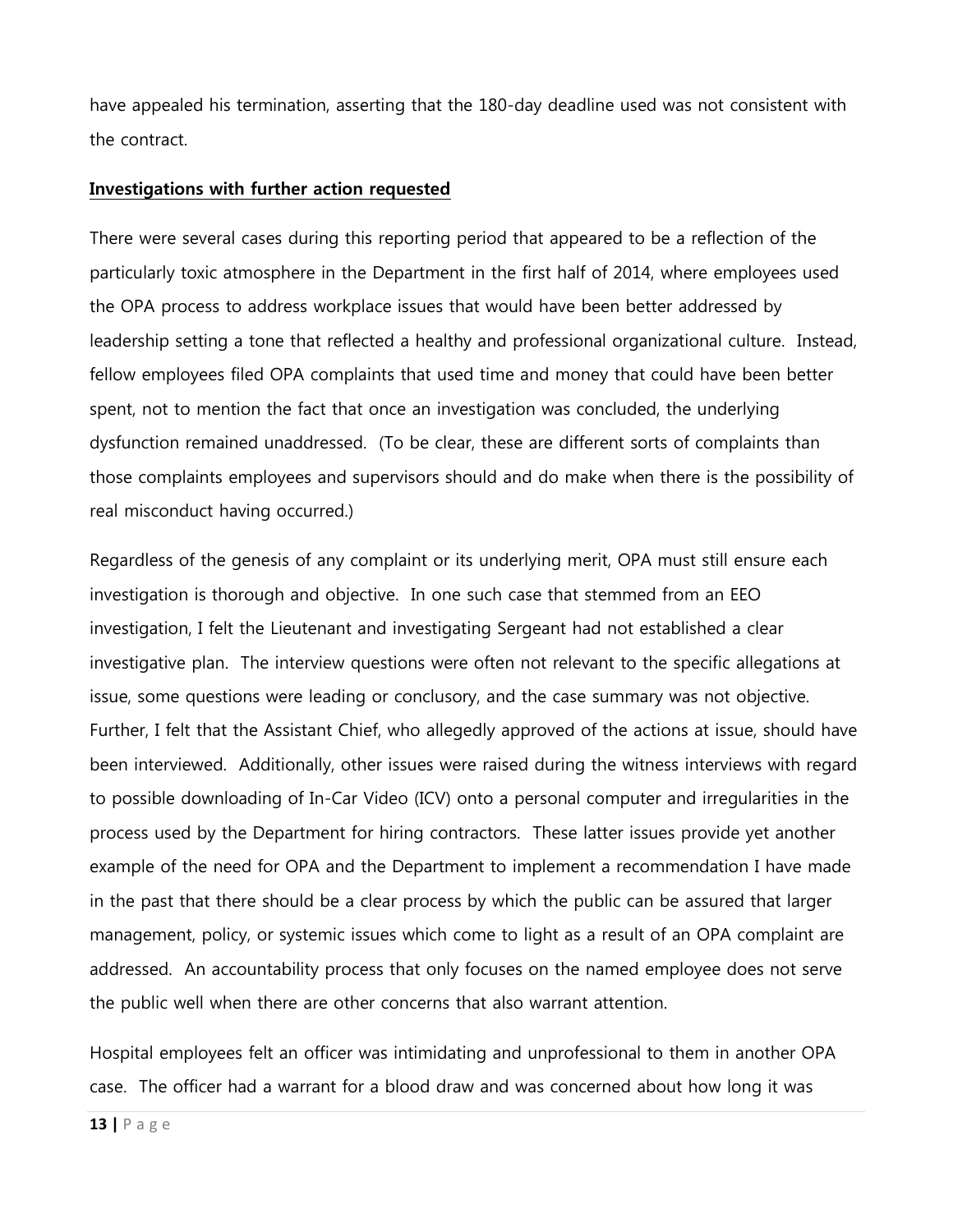have appealed his termination, asserting that the 180-day deadline used was not consistent with the contract.

#### **Investigations with further action requested**

There were several cases during this reporting period that appeared to be a reflection of the particularly toxic atmosphere in the Department in the first half of 2014, where employees used the OPA process to address workplace issues that would have been better addressed by leadership setting a tone that reflected a healthy and professional organizational culture. Instead, fellow employees filed OPA complaints that used time and money that could have been better spent, not to mention the fact that once an investigation was concluded, the underlying dysfunction remained unaddressed. (To be clear, these are different sorts of complaints than those complaints employees and supervisors should and do make when there is the possibility of real misconduct having occurred.)

Regardless of the genesis of any complaint or its underlying merit, OPA must still ensure each investigation is thorough and objective. In one such case that stemmed from an EEO investigation, I felt the Lieutenant and investigating Sergeant had not established a clear investigative plan. The interview questions were often not relevant to the specific allegations at issue, some questions were leading or conclusory, and the case summary was not objective. Further, I felt that the Assistant Chief, who allegedly approved of the actions at issue, should have been interviewed. Additionally, other issues were raised during the witness interviews with regard to possible downloading of In-Car Video (ICV) onto a personal computer and irregularities in the process used by the Department for hiring contractors. These latter issues provide yet another example of the need for OPA and the Department to implement a recommendation I have made in the past that there should be a clear process by which the public can be assured that larger management, policy, or systemic issues which come to light as a result of an OPA complaint are addressed. An accountability process that only focuses on the named employee does not serve the public well when there are other concerns that also warrant attention.

Hospital employees felt an officer was intimidating and unprofessional to them in another OPA case. The officer had a warrant for a blood draw and was concerned about how long it was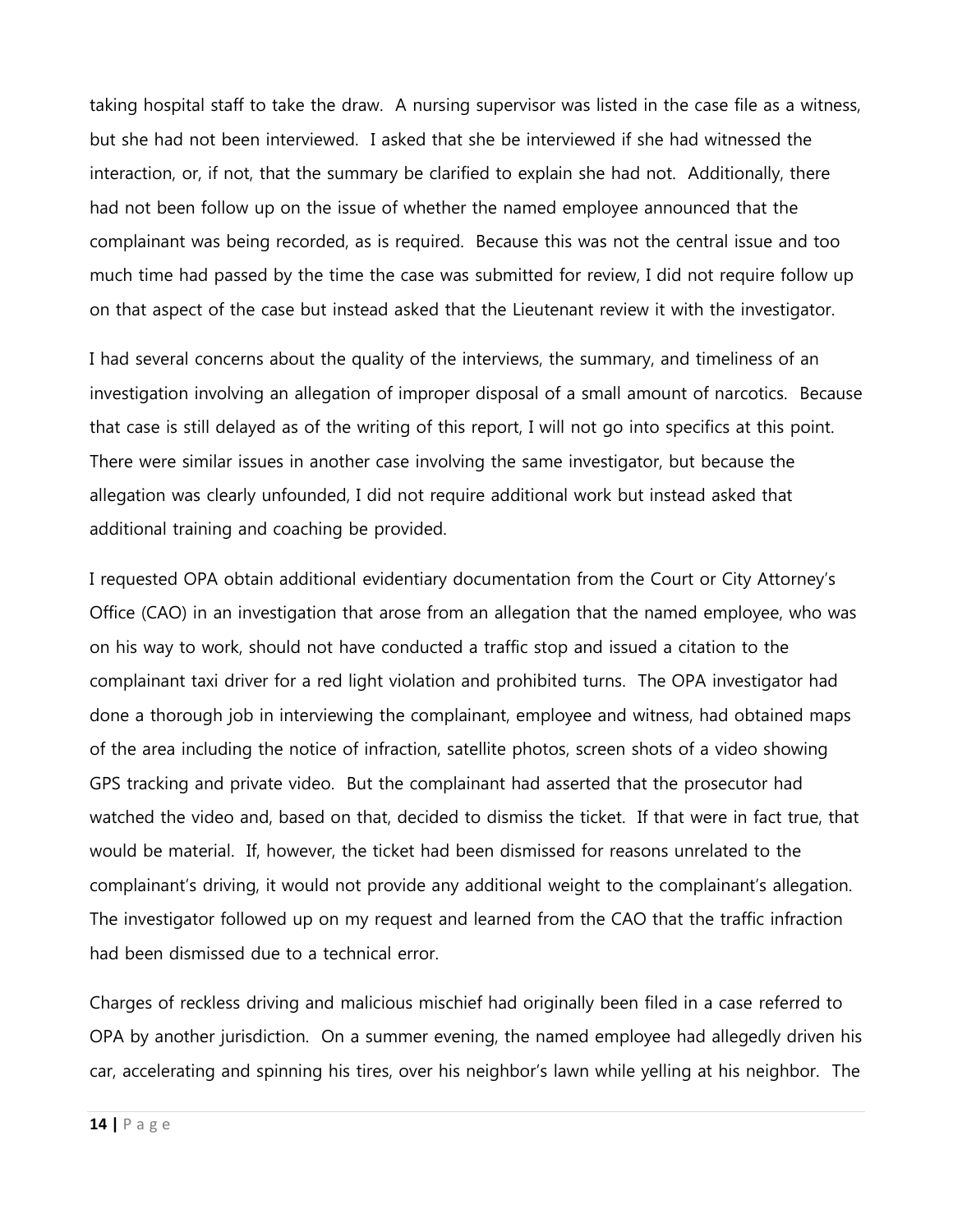taking hospital staff to take the draw. A nursing supervisor was listed in the case file as a witness, but she had not been interviewed. I asked that she be interviewed if she had witnessed the interaction, or, if not, that the summary be clarified to explain she had not. Additionally, there had not been follow up on the issue of whether the named employee announced that the complainant was being recorded, as is required. Because this was not the central issue and too much time had passed by the time the case was submitted for review, I did not require follow up on that aspect of the case but instead asked that the Lieutenant review it with the investigator.

I had several concerns about the quality of the interviews, the summary, and timeliness of an investigation involving an allegation of improper disposal of a small amount of narcotics. Because that case is still delayed as of the writing of this report, I will not go into specifics at this point. There were similar issues in another case involving the same investigator, but because the allegation was clearly unfounded, I did not require additional work but instead asked that additional training and coaching be provided.

I requested OPA obtain additional evidentiary documentation from the Court or City Attorney's Office (CAO) in an investigation that arose from an allegation that the named employee, who was on his way to work, should not have conducted a traffic stop and issued a citation to the complainant taxi driver for a red light violation and prohibited turns. The OPA investigator had done a thorough job in interviewing the complainant, employee and witness, had obtained maps of the area including the notice of infraction, satellite photos, screen shots of a video showing GPS tracking and private video. But the complainant had asserted that the prosecutor had watched the video and, based on that, decided to dismiss the ticket. If that were in fact true, that would be material. If, however, the ticket had been dismissed for reasons unrelated to the complainant's driving, it would not provide any additional weight to the complainant's allegation. The investigator followed up on my request and learned from the CAO that the traffic infraction had been dismissed due to a technical error.

Charges of reckless driving and malicious mischief had originally been filed in a case referred to OPA by another jurisdiction. On a summer evening, the named employee had allegedly driven his car, accelerating and spinning his tires, over his neighbor's lawn while yelling at his neighbor. The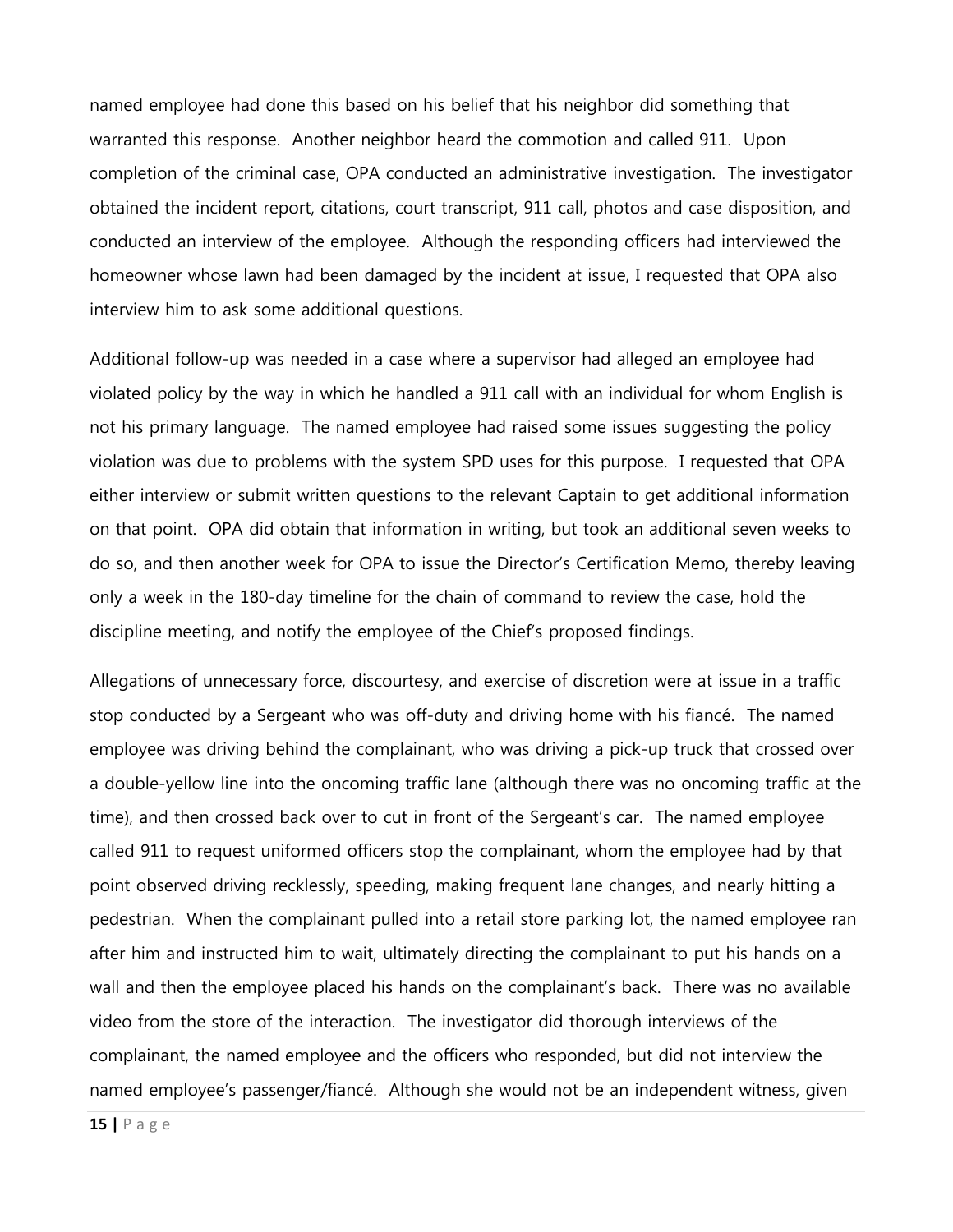named employee had done this based on his belief that his neighbor did something that warranted this response. Another neighbor heard the commotion and called 911. Upon completion of the criminal case, OPA conducted an administrative investigation. The investigator obtained the incident report, citations, court transcript, 911 call, photos and case disposition, and conducted an interview of the employee. Although the responding officers had interviewed the homeowner whose lawn had been damaged by the incident at issue, I requested that OPA also interview him to ask some additional questions.

Additional follow-up was needed in a case where a supervisor had alleged an employee had violated policy by the way in which he handled a 911 call with an individual for whom English is not his primary language. The named employee had raised some issues suggesting the policy violation was due to problems with the system SPD uses for this purpose. I requested that OPA either interview or submit written questions to the relevant Captain to get additional information on that point. OPA did obtain that information in writing, but took an additional seven weeks to do so, and then another week for OPA to issue the Director's Certification Memo, thereby leaving only a week in the 180-day timeline for the chain of command to review the case, hold the discipline meeting, and notify the employee of the Chief's proposed findings.

Allegations of unnecessary force, discourtesy, and exercise of discretion were at issue in a traffic stop conducted by a Sergeant who was off-duty and driving home with his fiancé. The named employee was driving behind the complainant, who was driving a pick-up truck that crossed over a double-yellow line into the oncoming traffic lane (although there was no oncoming traffic at the time), and then crossed back over to cut in front of the Sergeant's car. The named employee called 911 to request uniformed officers stop the complainant, whom the employee had by that point observed driving recklessly, speeding, making frequent lane changes, and nearly hitting a pedestrian. When the complainant pulled into a retail store parking lot, the named employee ran after him and instructed him to wait, ultimately directing the complainant to put his hands on a wall and then the employee placed his hands on the complainant's back. There was no available video from the store of the interaction. The investigator did thorough interviews of the complainant, the named employee and the officers who responded, but did not interview the named employee's passenger/fiancé. Although she would not be an independent witness, given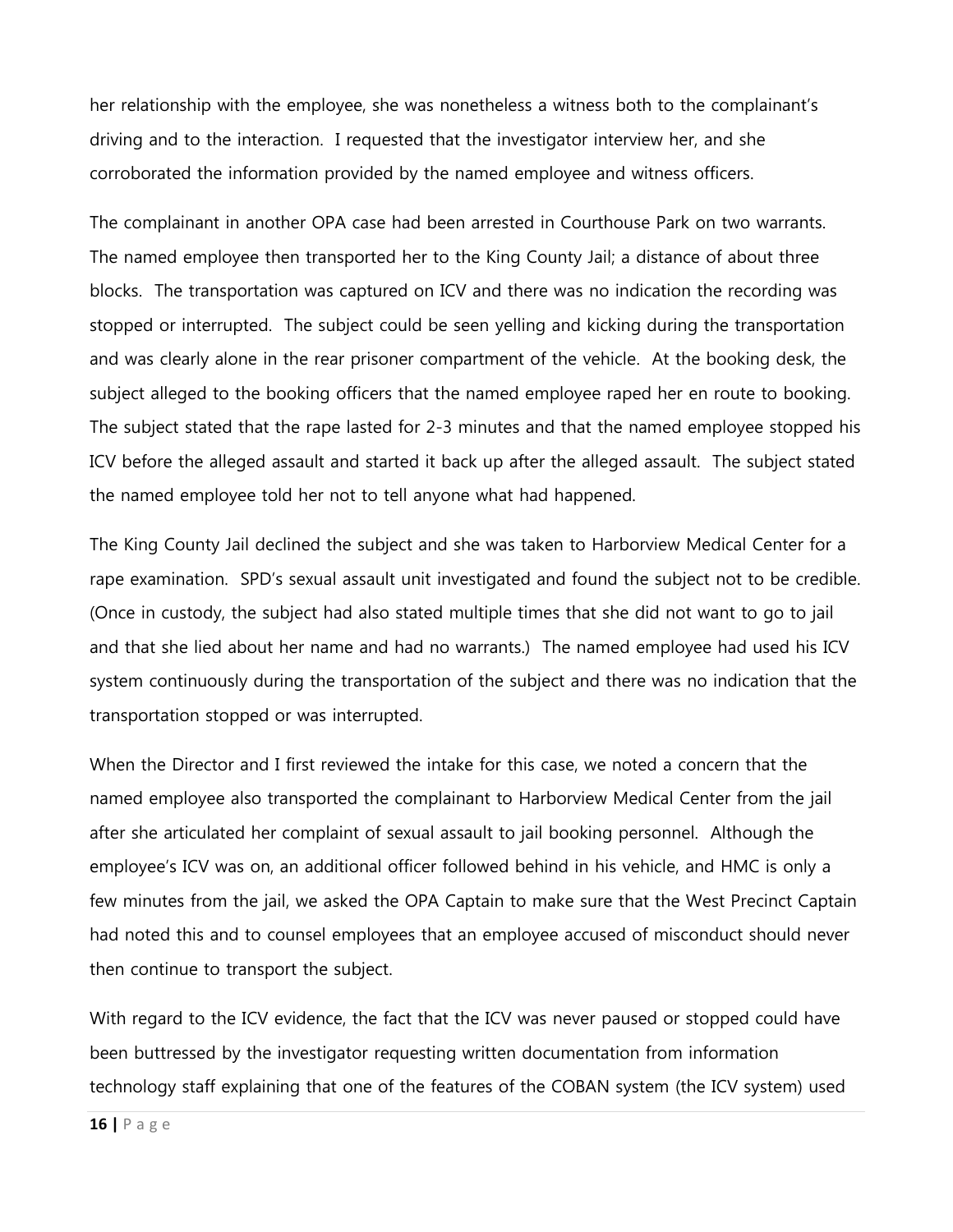her relationship with the employee, she was nonetheless a witness both to the complainant's driving and to the interaction. I requested that the investigator interview her, and she corroborated the information provided by the named employee and witness officers.

The complainant in another OPA case had been arrested in Courthouse Park on two warrants. The named employee then transported her to the King County Jail; a distance of about three blocks. The transportation was captured on ICV and there was no indication the recording was stopped or interrupted. The subject could be seen yelling and kicking during the transportation and was clearly alone in the rear prisoner compartment of the vehicle. At the booking desk, the subject alleged to the booking officers that the named employee raped her en route to booking. The subject stated that the rape lasted for 2-3 minutes and that the named employee stopped his ICV before the alleged assault and started it back up after the alleged assault. The subject stated the named employee told her not to tell anyone what had happened.

The King County Jail declined the subject and she was taken to Harborview Medical Center for a rape examination. SPD's sexual assault unit investigated and found the subject not to be credible. (Once in custody, the subject had also stated multiple times that she did not want to go to jail and that she lied about her name and had no warrants.) The named employee had used his ICV system continuously during the transportation of the subject and there was no indication that the transportation stopped or was interrupted.

When the Director and I first reviewed the intake for this case, we noted a concern that the named employee also transported the complainant to Harborview Medical Center from the jail after she articulated her complaint of sexual assault to jail booking personnel. Although the employee's ICV was on, an additional officer followed behind in his vehicle, and HMC is only a few minutes from the jail, we asked the OPA Captain to make sure that the West Precinct Captain had noted this and to counsel employees that an employee accused of misconduct should never then continue to transport the subject.

With regard to the ICV evidence, the fact that the ICV was never paused or stopped could have been buttressed by the investigator requesting written documentation from information technology staff explaining that one of the features of the COBAN system (the ICV system) used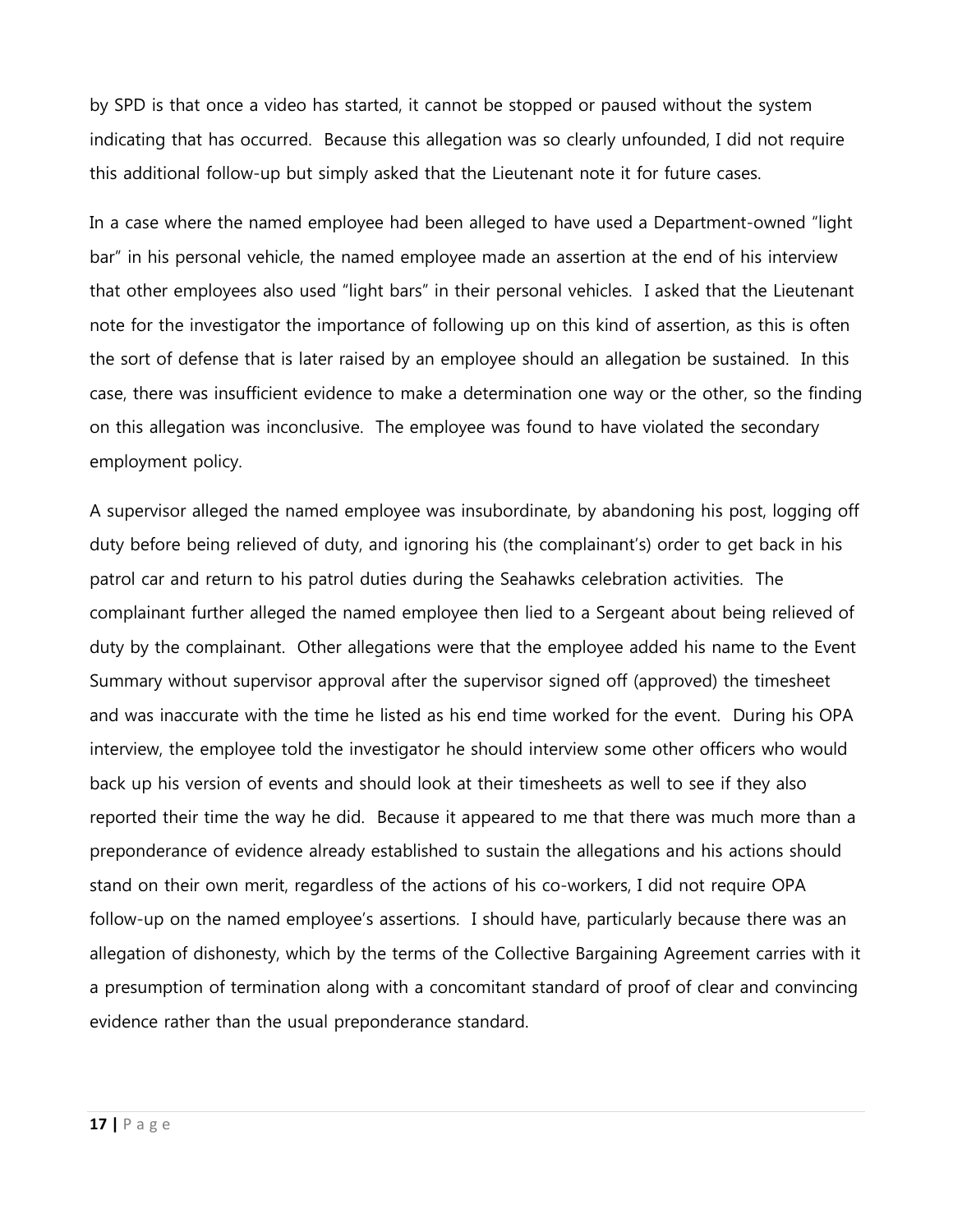by SPD is that once a video has started, it cannot be stopped or paused without the system indicating that has occurred. Because this allegation was so clearly unfounded, I did not require this additional follow-up but simply asked that the Lieutenant note it for future cases.

In a case where the named employee had been alleged to have used a Department-owned "light bar" in his personal vehicle, the named employee made an assertion at the end of his interview that other employees also used "light bars" in their personal vehicles. I asked that the Lieutenant note for the investigator the importance of following up on this kind of assertion, as this is often the sort of defense that is later raised by an employee should an allegation be sustained. In this case, there was insufficient evidence to make a determination one way or the other, so the finding on this allegation was inconclusive. The employee was found to have violated the secondary employment policy.

A supervisor alleged the named employee was insubordinate, by abandoning his post, logging off duty before being relieved of duty, and ignoring his (the complainant's) order to get back in his patrol car and return to his patrol duties during the Seahawks celebration activities. The complainant further alleged the named employee then lied to a Sergeant about being relieved of duty by the complainant. Other allegations were that the employee added his name to the Event Summary without supervisor approval after the supervisor signed off (approved) the timesheet and was inaccurate with the time he listed as his end time worked for the event. During his OPA interview, the employee told the investigator he should interview some other officers who would back up his version of events and should look at their timesheets as well to see if they also reported their time the way he did. Because it appeared to me that there was much more than a preponderance of evidence already established to sustain the allegations and his actions should stand on their own merit, regardless of the actions of his co-workers, I did not require OPA follow-up on the named employee's assertions. I should have, particularly because there was an allegation of dishonesty, which by the terms of the Collective Bargaining Agreement carries with it a presumption of termination along with a concomitant standard of proof of clear and convincing evidence rather than the usual preponderance standard.